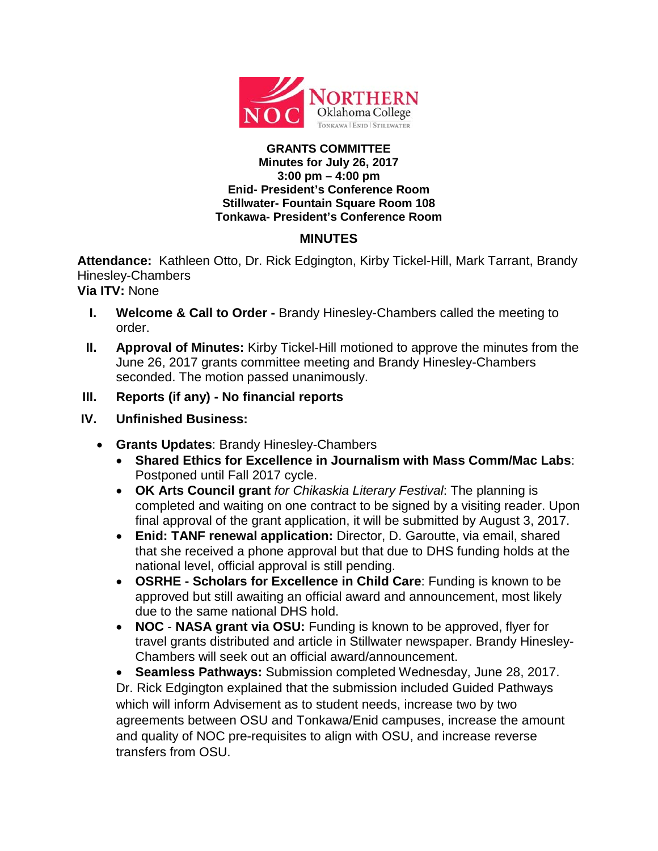

## **GRANTS COMMITTEE Minutes for July 26, 2017 3:00 pm – 4:00 pm Enid- President's Conference Room Stillwater- Fountain Square Room 108 Tonkawa- President's Conference Room**

## **MINUTES**

**Attendance:** Kathleen Otto, Dr. Rick Edgington, Kirby Tickel-Hill, Mark Tarrant, Brandy Hinesley-Chambers

**Via ITV:** None

- **I. Welcome & Call to Order -** Brandy Hinesley-Chambers called the meeting to order.
- **II. Approval of Minutes:** Kirby Tickel-Hill motioned to approve the minutes from the June 26, 2017 grants committee meeting and Brandy Hinesley-Chambers seconded. The motion passed unanimously.
- **III. Reports (if any) - No financial reports**
- **IV. Unfinished Business:**
	- **Grants Updates**: Brandy Hinesley-Chambers
		- **Shared Ethics for Excellence in Journalism with Mass Comm/Mac Labs**: Postponed until Fall 2017 cycle.
		- **OK Arts Council grant** *for Chikaskia Literary Festival*: The planning is completed and waiting on one contract to be signed by a visiting reader. Upon final approval of the grant application, it will be submitted by August 3, 2017.
		- **Enid: TANF renewal application:** Director, D. Garoutte, via email, shared that she received a phone approval but that due to DHS funding holds at the national level, official approval is still pending.
		- **OSRHE - Scholars for Excellence in Child Care**: Funding is known to be approved but still awaiting an official award and announcement, most likely due to the same national DHS hold.
		- **NOC NASA grant via OSU:** Funding is known to be approved, flyer for travel grants distributed and article in Stillwater newspaper. Brandy Hinesley-Chambers will seek out an official award/announcement.

• **Seamless Pathways:** Submission completed Wednesday, June 28, 2017. Dr. Rick Edgington explained that the submission included Guided Pathways which will inform Advisement as to student needs, increase two by two agreements between OSU and Tonkawa/Enid campuses, increase the amount and quality of NOC pre-requisites to align with OSU, and increase reverse transfers from OSU.